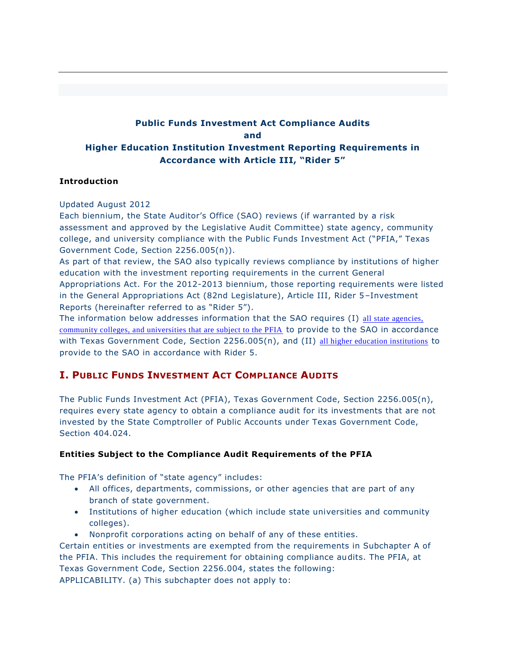## **Public Funds Investment Act Compliance Audits and Higher Education Institution Investment Reporting Requirements in Accordance with Article III, "Rider 5"**

### **Introduction**

Updated August 2012

Each biennium, the State Auditor's Office (SAO) reviews (if warranted by a risk assessment and approved by the Legislative Audit Committee) state agency, community college, and university compliance with the Public Funds Investment Act ("PFIA," Texas Government Code, Section 2256.005(n)).

As part of that review, the SAO also typically reviews compliance by institutions of higher education with the investment reporting requirements in the current General Appropriations Act. For the 2012-2013 biennium, those reporting requirements were listed in the General Appropriations Act (82nd Legislature), Article III, Rider 5–Investment Reports (hereinafter referred to as "Rider 5").

The information below addresses information that the SAO requires  $(I)$  all state agencies, [community colleges, and universities that are subject to the PFIA](http://www.sao.state.tx.us/Resources/IntAud/pubfunds.html#1) to provide to the SAO in accordance with Texas Government Code, Section 2256.005(n), and (II) [all higher education institutions](http://www.sao.state.tx.us/Resources/IntAud/pubfunds.html#2) to provide to the SAO in accordance with Rider 5.

# **I. PUBLIC FUNDS INVESTMENT ACT COMPLIANCE AUDITS**

The Public Funds Investment Act (PFIA), Texas Government Code, Section 2256.005(n), requires every state agency to obtain a compliance audit for its investments that are not invested by the State Comptroller of Public Accounts under Texas Government Code, Section 404.024.

## **Entities Subject to the Compliance Audit Requirements of the PFIA**

The PFIA's definition of "state agency" includes:

- All offices, departments, commissions, or other agencies that are part of any branch of state government.
- Institutions of higher education (which include state universities and community colleges).
- Nonprofit corporations acting on behalf of any of these entities.

Certain entities or investments are exempted from the requirements in Subchapter A of the PFIA. This includes the requirement for obtaining compliance audits. The PFIA, at Texas Government Code, Section 2256.004, states the following: APPLICABILITY. (a) This subchapter does not apply to: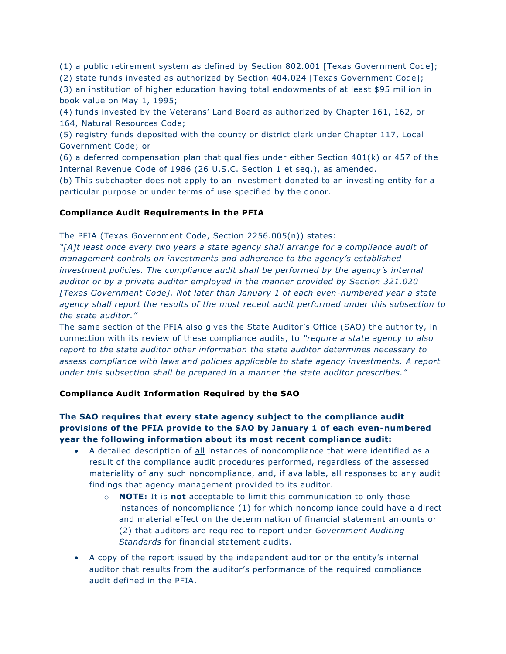(1) a public retirement system as defined by Section 802.001 [Texas Government Code];

(2) state funds invested as authorized by Section 404.024 [Texas Government Code]; (3) an institution of higher education having total endowments of at least \$95 million in book value on May 1, 1995;

(4) funds invested by the Veterans' Land Board as authorized by Chapter 161, 162, or 164, Natural Resources Code;

(5) registry funds deposited with the county or district clerk under Chapter 117, Local Government Code; or

(6) a deferred compensation plan that qualifies under either Section 401(k) or 457 of the Internal Revenue Code of 1986 (26 U.S.C. Section 1 et seq.), as amended.

(b) This subchapter does not apply to an investment donated to an investing entity for a particular purpose or under terms of use specified by the donor.

### **Compliance Audit Requirements in the PFIA**

The PFIA (Texas Government Code, Section 2256.005(n)) states:

*"[A]t least once every two years a state agency shall arrange for a compliance audit of management controls on investments and adherence to the agency's established investment policies. The compliance audit shall be performed by the agency's internal auditor or by a private auditor employed in the manner provided by Section 321.020 [Texas Government Code]. Not later than January 1 of each even-numbered year a state agency shall report the results of the most recent audit performed under this subsection to the state auditor."* 

The same section of the PFIA also gives the State Auditor's Office (SAO) the authority, in connection with its review of these compliance audits, to *"require a state agency to also report to the state auditor other information the state auditor determines necessary to assess compliance with laws and policies applicable to state agency investments. A report under this subsection shall be prepared in a manner the state auditor prescribes."*

#### **Compliance Audit Information Required by the SAO**

## **The SAO requires that every state agency subject to the compliance audit provisions of the PFIA provide to the SAO by January 1 of each even-numbered year the following information about its most recent compliance audit:**

- A detailed description of all instances of noncompliance that were identified as a result of the compliance audit procedures performed, regardless of the assessed materiality of any such noncompliance, and, if available, all responses to any audit findings that agency management provided to its auditor.
	- o **NOTE:** It is **not** acceptable to limit this communication to only those instances of noncompliance (1) for which noncompliance could have a direct and material effect on the determination of financial statement amounts or (2) that auditors are required to report under *Government Auditing Standards* for financial statement audits.
- A copy of the report issued by the independent auditor or the entity's internal auditor that results from the auditor's performance of the required compliance audit defined in the PFIA.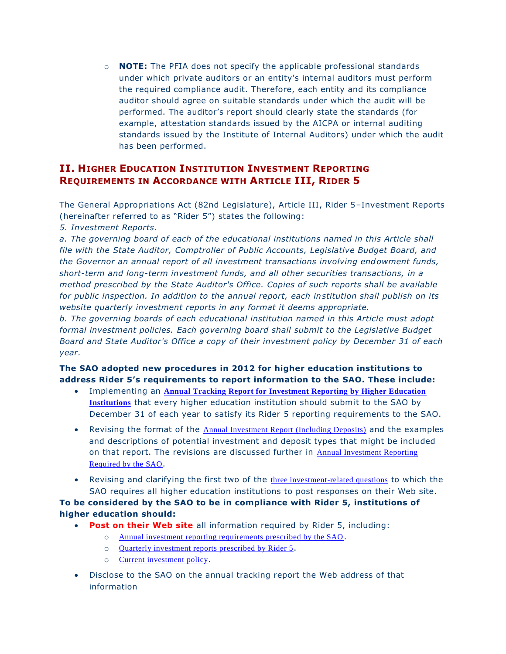o **NOTE:** The PFIA does not specify the applicable professional standards under which private auditors or an entity's internal auditors must perform the required compliance audit. Therefore, each entity and its compliance auditor should agree on suitable standards under which the audit will be performed. The auditor's report should clearly state the standards (for example, attestation standards issued by the AICPA or internal auditing standards issued by the Institute of Internal Auditors) under which the audit has been performed.

## **II. HIGHER EDUCATION INSTITUTION INVESTMENT REPORTING REQUIREMENTS IN ACCORDANCE WITH ARTICLE III, RIDER 5**

The General Appropriations Act (82nd Legislature), Article III, Rider 5–Investment Reports (hereinafter referred to as "Rider 5") states the following:

*5. Investment Reports.*

*a. The governing board of each of the educational institutions named in this Article shall file with the State Auditor, Comptroller of Public Accounts, Legislative Budget Board, and the Governor an annual report of all investment transactions involving endowment funds, short-term and long-term investment funds, and all other securities transactions, in a method prescribed by the State Auditor's Office. Copies of such reports shall be available for public inspection. In addition to the annual report, each institution shall publish on its website quarterly investment reports in any format it deems appropriate.*

*b. The governing boards of each educational institution named in this Article must adopt formal investment policies. Each governing board shall submit to the Legislative Budget Board and State Auditor's Office a copy of their investment policy by December 31 of each year.*

## **The SAO adopted new procedures in 2012 for higher education institutions to address Rider 5's requirements to report information to the SAO. These include:**

- Implementing an **[Annual Tracking Report for Investment Reporting by Higher Education](http://www.sao.state.tx.us/Resources/IntAud/AnnualTrackingReport.docx)  [Institutions](http://www.sao.state.tx.us/Resources/IntAud/AnnualTrackingReport.docx)** that every higher education institution should submit to the SAO by December 31 of each year to satisfy its Rider 5 reporting requirements to the SAO.
- Revising the format of the [Annual Investment Report \(Including Deposits\)](http://www.sao.state.tx.us/Resources/IntAud/HigherEdInvestReporting.html#3) and the examples and descriptions of potential investment and deposit types that might be included on that report. The revisions are discussed further in **Annual Investment Reporting** [Required by the SAO](http://www.sao.state.tx.us/Resources/IntAud/pubfunds.html#4).
- Revising and clarifying the first two of the [three investment-related questions](http://www.sao.state.tx.us/Resources/IntAud/pubfunds.html#5) to which the SAO requires all higher education institutions to post responses on their Web site.

**To be considered by the SAO to be in compliance with Rider 5, institutions of higher education should:**

- **Post on their Web site** all information required by Rider 5, including:
	- o [Annual investment reporting requirements prescribed by the SAO](http://www.sao.state.tx.us/Resources/IntAud/pubfunds.html#4).
	- o [Quarterly investment reports prescribed by Rider 5](http://www.sao.state.tx.us/Resources/IntAud/pubfunds.html#6).
	- o [Current investment policy](http://www.sao.state.tx.us/Resources/IntAud/pubfunds.html#7).
- Disclose to the SAO on the annual tracking report the Web address of that information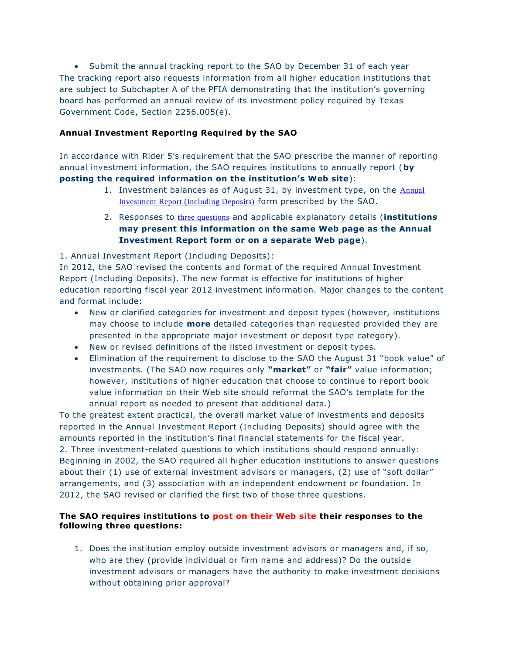Submit the annual tracking report to the SAO by December 31 of each year The tracking report also requests information from all higher education institutions that are subject to Subchapter A of the PFIA demonstrating that the institution's governing board has performed an annual review of its investment policy required by Texas Government Code, Section 2256.005(e).

### **Annual Investment Reporting Required by the SAO**

In accordance with Rider 5's requirement that the SAO prescribe the manner of reporting annual investment information, the SAO requires institutions to annually report (**by posting the required information on the institution's Web site**):

- 1. Investment balances as of August 31, by investment type, on the Annual [Investment Report \(Including Deposits\)](http://www.sao.state.tx.us/Resources/IntAud/HigherEdInvestReporting.html#3) form prescribed by the SAO.
- 2. Responses to [three questions](http://www.sao.state.tx.us/Resources/IntAud/pubfunds.html#5) and applicable explanatory details (**institutions may present this information on the same Web page as the Annual Investment Report form or on a separate Web page**).

1. Annual Investment Report (Including Deposits):

In 2012, the SAO revised the contents and format of the required Annual Investment Report (Including Deposits). The new format is effective for institutions of higher education reporting fiscal year 2012 investment information. Major changes to the content and format include:

- New or clarified categories for investment and deposit types (however, institutions may choose to include **more** detailed categories than requested provided they are presented in the appropriate major investment or deposit type category).
- New or revised definitions of the listed investment or deposit types.
- Elimination of the requirement to disclose to the SAO the August 31 "book value" of investments. (The SAO now requires only **"market"** or **"fair"** value information; however, institutions of higher education that choose to continue to report book value information on their Web site should reformat the SAO's template for the annual report as needed to present that additional data.)

To the greatest extent practical, the overall market value of investments and deposits reported in the Annual Investment Report (Including Deposits) should agree with the amounts reported in the institution's final financial statements for the fiscal year. 2. Three investment-related questions to which institutions should respond annually: Beginning in 2002, the SAO required all higher education institutions to answer questions about their (1) use of external investment advisors or managers, (2) use of "soft dollar" arrangements, and (3) association with an independent endowment or foundation. In 2012, the SAO revised or clarified the first two of those three questions.

### **The SAO requires institutions to post on their Web site their responses to the following three questions:**

1. Does the institution employ outside investment advisors or managers and, if so, who are they (provide individual or firm name and address)? Do the outside investment advisors or managers have the authority to make investment decisions without obtaining prior approval?